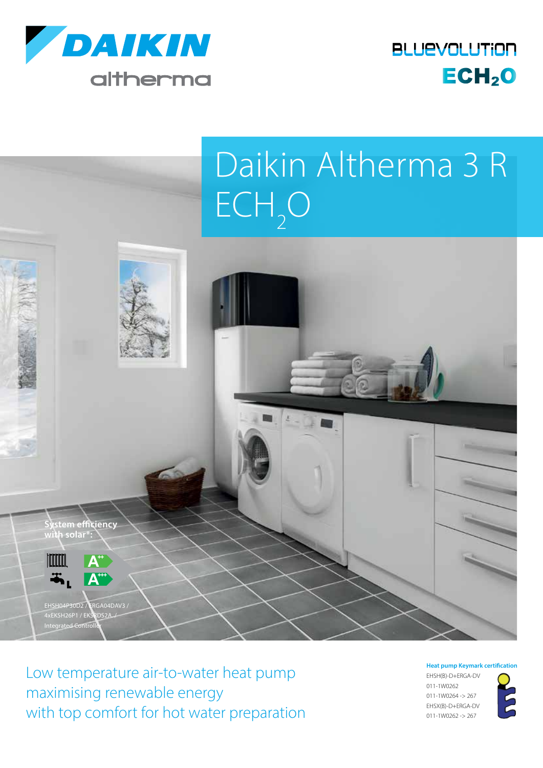

**BLUEVOLUTION**  $ECH<sub>2</sub>O$ 

## Daikin Altherma 3 R  $ECH<sub>2</sub>O$



Low temperature air-to-water heat pump maximising renewable energy with top comfort for hot water preparation **Heat pump Keymark certification**

EHSH(B)-D+ERGA-DV 011-1W0262 011-1W0264 -> 267 EHSX(B)-D+ERGA-DV 011-1W0262 -> 267

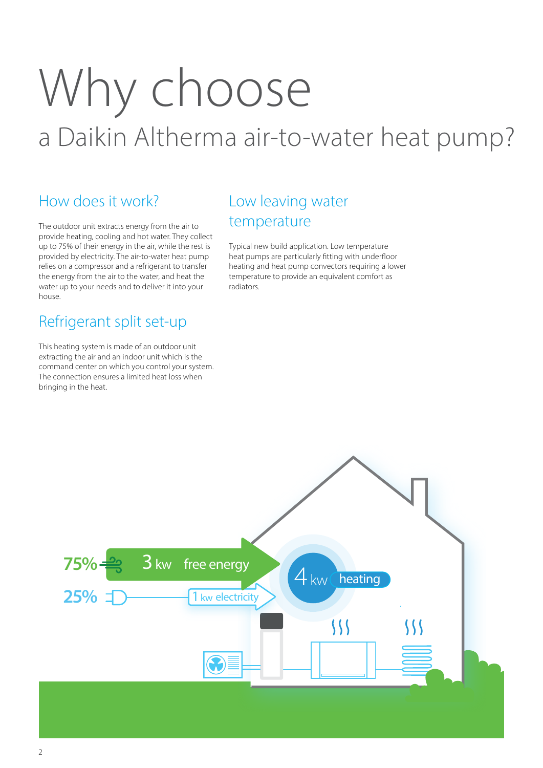# Why choose a Daikin Altherma air-to-water heat pump?

## How does it work?

The outdoor unit extracts energy from the air to provide heating, cooling and hot water. They collect up to 75% of their energy in the air, while the rest is provided by electricity. The air-to-water heat pump relies on a compressor and a refrigerant to transfer the energy from the air to the water, and heat the water up to your needs and to deliver it into your house.

## Refrigerant split set-up

This heating system is made of an outdoor unit extracting the air and an indoor unit which is the command center on which you control your system. The connection ensures a limited heat loss when bringing in the heat.

## Low leaving water temperature

Typical new build application. Low temperature heat pumps are particularly fitting with underfloor heating and heat pump convectors requiring a lower temperature to provide an equivalent comfort as radiators.

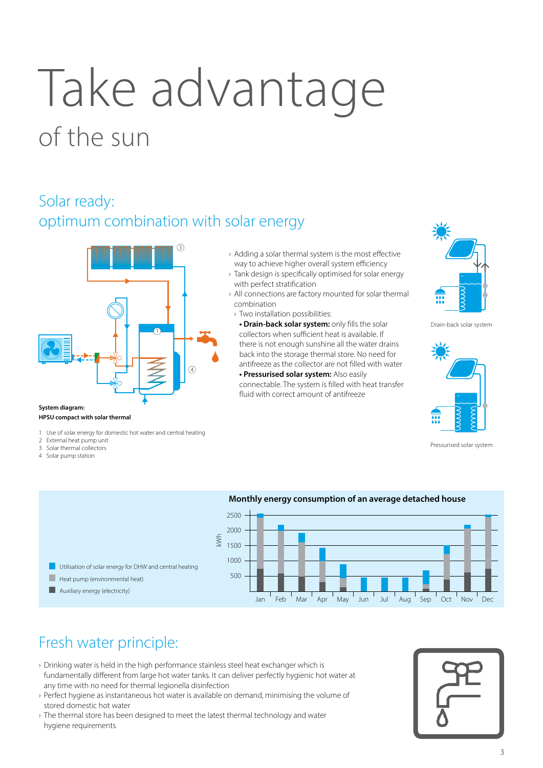# Take advantage of the sun

## Solar ready: optimum combination with solar energy



#### **HPSU compact with solar thermal**

- 1 Use of solar energy for domestic hot water and central heating
- External heat pump unit
- Solar thermal collectors
- 4 Solar pump station
- › Adding a solar thermal system is the most effective way to achieve higher overall system efficiency
- › Tank design is specifically optimised for solar energy with perfect stratification
- › All connections are factory mounted for solar thermal combination
- › Two installation possibilities:
- **Drain-back solar system:** only fills the solar collectors when sufficient heat is available. If there is not enough sunshine all the water drains back into the storage thermal store. No need for antifreeze as the collector are not filled with water **• Pressurised solar system:** Also easily

connectable. The system is filled with heat transfer fluid with correct amount of antifreeze



Drain-back solar system



Pressurised solar system



## Fresh water principle:

- › Drinking water is held in the high performance stainless steel heat exchanger which is fundamentally different from large hot water tanks. It can deliver perfectly hygienic hot water at any time with no need for thermal legionella disinfection
- › Perfect hygiene as instantaneous hot water is available on demand, minimising the volume of stored domestic hot water
- › The thermal store has been designed to meet the latest thermal technology and water hygiene requirements

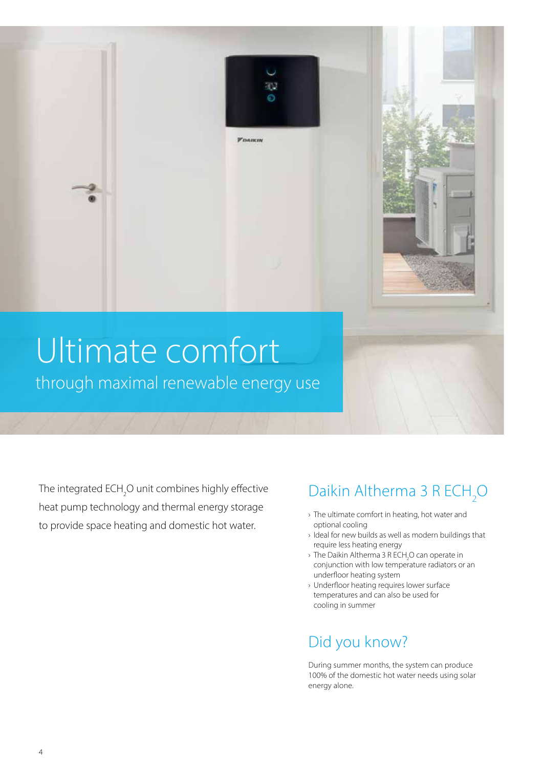# Ultimate comfort

Ŧ. Ō

*FOAIKIN* 

through maximal renewable energy use

The integrated ECH<sub>2</sub>O unit combines highly effective heat pump technology and thermal energy storage to provide space heating and domestic hot water.

## Daikin Altherma 3 R  $ECH<sub>2</sub>O$

- › The ultimate comfort in heating, hot water and optional cooling
- › Ideal for new builds as well as modern buildings that require less heating energy
- $\rightarrow$  The Daikin Altherma 3 R ECH<sub>2</sub>O can operate in conjunction with low temperature radiators or an underfloor heating system
- › Underfloor heating requires lower surface temperatures and can also be used for cooling in summer

## Did you know?

During summer months, the system can produce 100% of the domestic hot water needs using solar energy alone.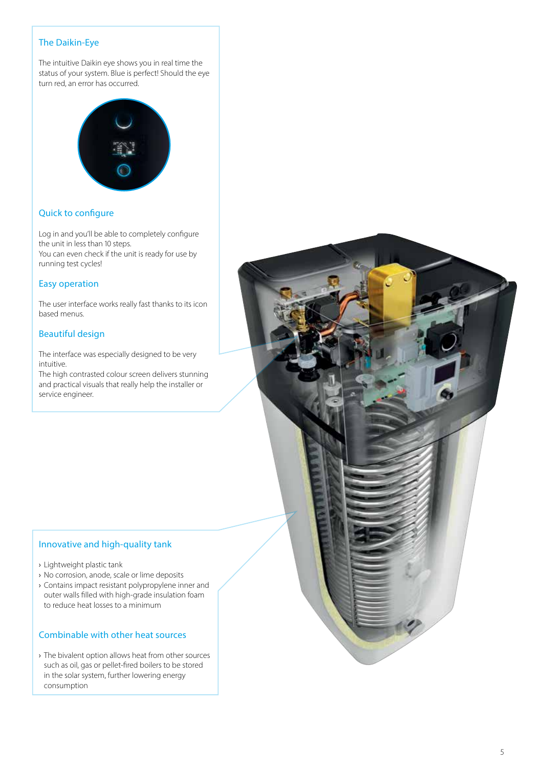#### The Daikin-Eye

The intuitive Daikin eye shows you in real time the status of your system. Blue is perfect! Should the eye turn red, an error has occurred.



#### Quick to configure

Log in and you'll be able to completely configure the unit in less than 10 steps. You can even check if the unit is ready for use by running test cycles!

#### Easy operation

The user interface works really fast thanks to its icon based menus.

#### Beautiful design

The interface was especially designed to be very intuitive.

The high contrasted colour screen delivers stunning and practical visuals that really help the installer or service engineer.

#### Innovative and high-quality tank

- › Lightweight plastic tank
- › No corrosion, anode, scale or lime deposits
- › Contains impact resistant polypropylene inner and outer walls filled with high-grade insulation foam to reduce heat losses to a minimum

#### Combinable with other heat sources

› The bivalent option allows heat from other sources such as oil, gas or pellet-fired boilers to be stored in the solar system, further lowering energy consumption

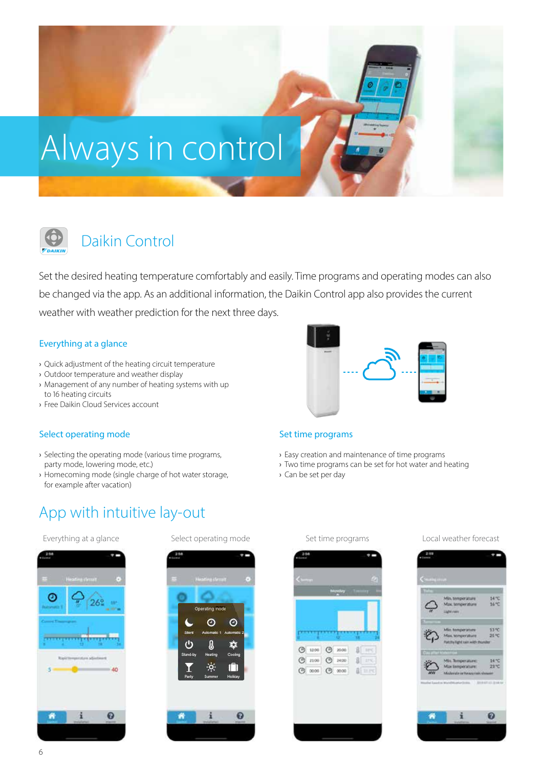



## Daikin Control

Set the desired heating temperature comfortably and easily. Time programs and operating modes can also be changed via the app. As an additional information, the Daikin Control app also provides the current weather with weather prediction for the next three days.

#### Everything at a glance

- › Quick adjustment of the heating circuit temperature
- › Outdoor temperature and weather display
- › Management of any number of heating systems with up to 16 heating circuits
- › Free Daikin Cloud Services account

#### Select operating mode

- › Selecting the operating mode (various time programs, party mode, lowering mode, etc.)
- › Homecoming mode (single charge of hot water storage, for example after vacation)



#### Set time programs

- › Easy creation and maintenance of time programs
- › Two time programs can be set for hot water and heating
- › Can be set per day

## App with intuitive lay-out



 $\odot$ 

 $\mathbf{a}$ 

 $\odot$ 

欢





Everything at a glance Select operating mode Set time programs Local weather forecast





 $\mathcal{C}$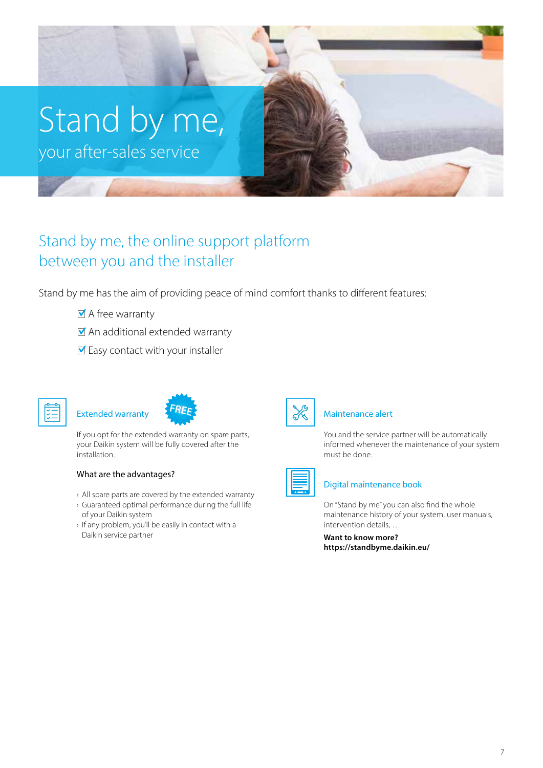# Stand by me,

your after-sales service

## Stand by me, the online support platform between you and the installer

Stand by me has the aim of providing peace of mind comfort thanks to different features:

- A free warranty
- An additional extended warranty
- $\blacksquare$  Easy contact with your installer





If you opt for the extended warranty on spare parts, your Daikin system will be fully covered after the installation.

#### What are the advantages?

- › All spare parts are covered by the extended warranty
- › Guaranteed optimal performance during the full life of your Daikin system
- › If any problem, you'll be easily in contact with a Daikin service partner



#### Maintenance alert

You and the service partner will be automatically informed whenever the maintenance of your system must be done.



#### Digital maintenance book

On "Stand by me" you can also find the whole maintenance history of your system, user manuals, intervention details, …

**Want to know more? https://standbyme.daikin.eu/**